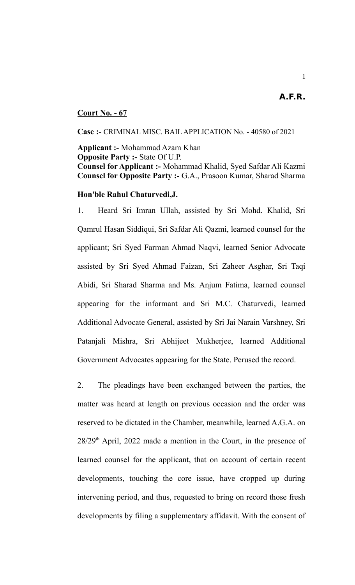#### **Court No. - 67**

**Case :-** CRIMINAL MISC. BAIL APPLICATION No. - 40580 of 2021

**Applicant :-** Mohammad Azam Khan **Opposite Party :-** State Of U.P. **Counsel for Applicant :-** Mohammad Khalid, Syed Safdar Ali Kazmi **Counsel for Opposite Party :-** G.A., Prasoon Kumar, Sharad Sharma

#### **Hon'ble Rahul Chaturvedi,J.**

1. Heard Sri Imran Ullah, assisted by Sri Mohd. Khalid, Sri Qamrul Hasan Siddiqui, Sri Safdar Ali Qazmi, learned counsel for the applicant; Sri Syed Farman Ahmad Naqvi, learned Senior Advocate assisted by Sri Syed Ahmad Faizan, Sri Zaheer Asghar, Sri Taqi Abidi, Sri Sharad Sharma and Ms. Anjum Fatima, learned counsel appearing for the informant and Sri M.C. Chaturvedi, learned Additional Advocate General, assisted by Sri Jai Narain Varshney, Sri Patanjali Mishra, Sri Abhijeet Mukherjee, learned Additional Government Advocates appearing for the State. Perused the record.

2. The pleadings have been exchanged between the parties, the matter was heard at length on previous occasion and the order was reserved to be dictated in the Chamber, meanwhile, learned A.G.A. on  $28/29<sup>th</sup>$  April, 2022 made a mention in the Court, in the presence of learned counsel for the applicant, that on account of certain recent developments, touching the core issue, have cropped up during intervening period, and thus, requested to bring on record those fresh developments by filing a supplementary affidavit. With the consent of

**A.F.R.**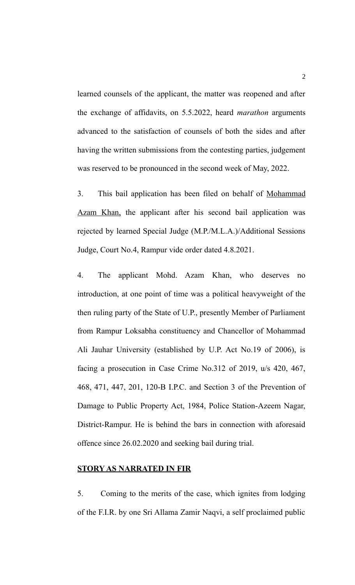learned counsels of the applicant, the matter was reopened and after the exchange of affidavits, on 5.5.2022, heard *marathon* arguments advanced to the satisfaction of counsels of both the sides and after having the written submissions from the contesting parties, judgement was reserved to be pronounced in the second week of May, 2022.

3. This bail application has been filed on behalf of Mohammad Azam Khan, the applicant after his second bail application was rejected by learned Special Judge (M.P./M.L.A.)/Additional Sessions Judge, Court No.4, Rampur vide order dated 4.8.2021.

4. The applicant Mohd. Azam Khan, who deserves no introduction, at one point of time was a political heavyweight of the then ruling party of the State of U.P., presently Member of Parliament from Rampur Loksabha constituency and Chancellor of Mohammad Ali Jauhar University (established by U.P. Act No.19 of 2006), is facing a prosecution in Case Crime No.312 of 2019, u/s 420, 467, 468, 471, 447, 201, 120-B I.P.C. and Section 3 of the Prevention of Damage to Public Property Act, 1984, Police Station-Azeem Nagar, District-Rampur. He is behind the bars in connection with aforesaid offence since 26.02.2020 and seeking bail during trial.

### **STORY AS NARRATED IN FIR**

5. Coming to the merits of the case, which ignites from lodging of the F.I.R. by one Sri Allama Zamir Naqvi, a self proclaimed public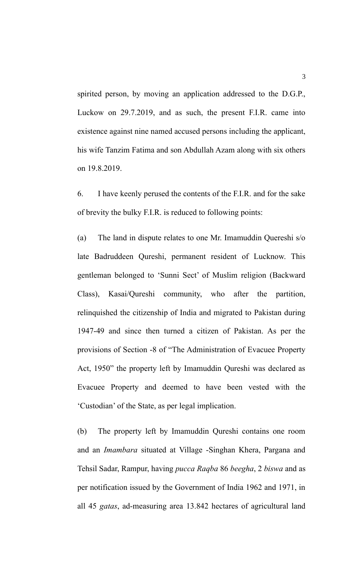spirited person, by moving an application addressed to the D.G.P., Luckow on 29.7.2019, and as such, the present F.I.R. came into existence against nine named accused persons including the applicant, his wife Tanzim Fatima and son Abdullah Azam along with six others on 19.8.2019.

6. I have keenly perused the contents of the F.I.R. and for the sake of brevity the bulky F.I.R. is reduced to following points:

(a) The land in dispute relates to one Mr. Imamuddin Quereshi s/o late Badruddeen Qureshi, permanent resident of Lucknow. This gentleman belonged to 'Sunni Sect' of Muslim religion (Backward Class), Kasai/Qureshi community, who after the partition, relinquished the citizenship of India and migrated to Pakistan during 1947-49 and since then turned a citizen of Pakistan. As per the provisions of Section -8 of "The Administration of Evacuee Property Act, 1950" the property left by Imamuddin Qureshi was declared as Evacuee Property and deemed to have been vested with the 'Custodian' of the State, as per legal implication.

(b) The property left by Imamuddin Qureshi contains one room and an *Imambara* situated at Village -Singhan Khera, Pargana and Tehsil Sadar, Rampur, having *pucca Raqba* 86 *beegha*, 2 *biswa* and as per notification issued by the Government of India 1962 and 1971, in all 45 *gatas*, ad-measuring area 13.842 hectares of agricultural land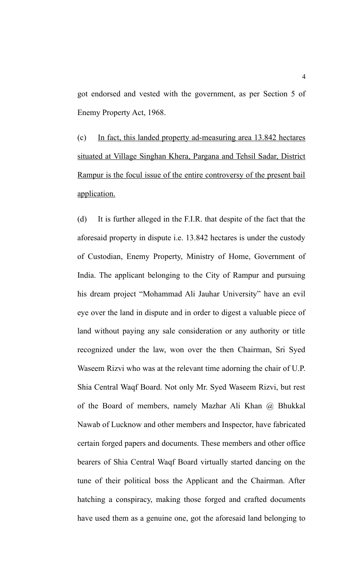got endorsed and vested with the government, as per Section 5 of Enemy Property Act, 1968.

(c) In fact, this landed property ad-measuring area 13.842 hectares situated at Village Singhan Khera, Pargana and Tehsil Sadar, District Rampur is the focul issue of the entire controversy of the present bail application.

(d) It is further alleged in the F.I.R. that despite of the fact that the aforesaid property in dispute i.e. 13.842 hectares is under the custody of Custodian, Enemy Property, Ministry of Home, Government of India. The applicant belonging to the City of Rampur and pursuing his dream project "Mohammad Ali Jauhar University" have an evil eye over the land in dispute and in order to digest a valuable piece of land without paying any sale consideration or any authority or title recognized under the law, won over the then Chairman, Sri Syed Waseem Rizvi who was at the relevant time adorning the chair of U.P. Shia Central Waqf Board. Not only Mr. Syed Waseem Rizvi, but rest of the Board of members, namely Mazhar Ali Khan @ Bhukkal Nawab of Lucknow and other members and Inspector, have fabricated certain forged papers and documents. These members and other office bearers of Shia Central Waqf Board virtually started dancing on the tune of their political boss the Applicant and the Chairman. After hatching a conspiracy, making those forged and crafted documents have used them as a genuine one, got the aforesaid land belonging to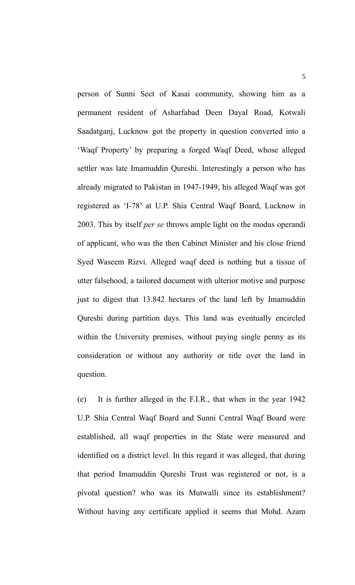person of Sunni Sect of Kasai community, showing him as a permanent resident of Asharfabad Deen Dayal Road, Kotwali Saadatganj, Lucknow got the property in question converted into a 'Waqf Property' by preparing a forged Waqf Deed, whose alleged settler was late Imamuddin Qureshi. Interestingly a person who has already migrated to Pakistan in 1947-1949, his alleged Waqf was got registered as 'I-78' at U.P. Shia Central Waqf Board, Lucknow in 2003. This by itself *per se* throws ample light on the modus operandi of applicant, who was the then Cabinet Minister and his close friend Syed Waseem Rizvi. Alleged waqf deed is nothing but a tissue of utter falsehood, a tailored document with ulterior motive and purpose just to digest that 13.842 hectares of the land left by Imamuddin Qureshi during partition days. This land was eventually encircled within the University premises, without paying single penny as its consideration or without any authority or title over the land in question.

(e) It is further alleged in the F.I.R., that when in the year 1942 U.P. Shia Central Waqf Board and Sunni Central Waqf Board were established, all waqf properties in the State were measured and identified on a district level. In this regard it was alleged, that during that period Imamuddin Qureshi Trust was registered or not, is a pivotal question? who was its Mutwalli since its establishment? Without having any certificate applied it seems that Mohd. Azam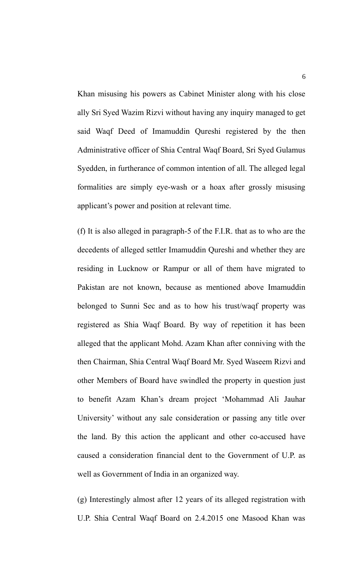Khan misusing his powers as Cabinet Minister along with his close ally Sri Syed Wazim Rizvi without having any inquiry managed to get said Waqf Deed of Imamuddin Qureshi registered by the then Administrative officer of Shia Central Waqf Board, Sri Syed Gulamus Syedden, in furtherance of common intention of all. The alleged legal formalities are simply eye-wash or a hoax after grossly misusing applicant's power and position at relevant time.

(f) It is also alleged in paragraph-5 of the F.I.R. that as to who are the decedents of alleged settler Imamuddin Qureshi and whether they are residing in Lucknow or Rampur or all of them have migrated to Pakistan are not known, because as mentioned above Imamuddin belonged to Sunni Sec and as to how his trust/waqf property was registered as Shia Waqf Board. By way of repetition it has been alleged that the applicant Mohd. Azam Khan after conniving with the then Chairman, Shia Central Waqf Board Mr. Syed Waseem Rizvi and other Members of Board have swindled the property in question just to benefit Azam Khan's dream project 'Mohammad Ali Jauhar University' without any sale consideration or passing any title over the land. By this action the applicant and other co-accused have caused a consideration financial dent to the Government of U.P. as well as Government of India in an organized way.

(g) Interestingly almost after 12 years of its alleged registration with U.P. Shia Central Waqf Board on 2.4.2015 one Masood Khan was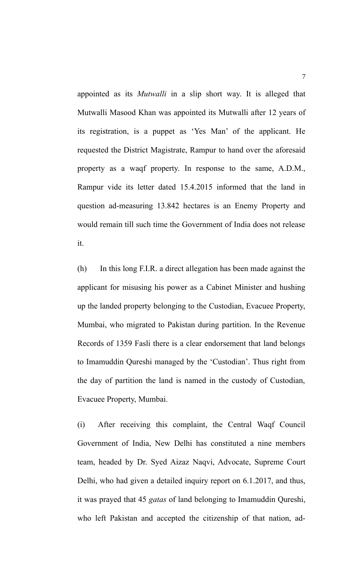appointed as its *Mutwalli* in a slip short way. It is alleged that Mutwalli Masood Khan was appointed its Mutwalli after 12 years of its registration, is a puppet as 'Yes Man' of the applicant. He requested the District Magistrate, Rampur to hand over the aforesaid property as a waqf property. In response to the same, A.D.M., Rampur vide its letter dated 15.4.2015 informed that the land in question ad-measuring 13.842 hectares is an Enemy Property and would remain till such time the Government of India does not release it.

(h) In this long F.I.R. a direct allegation has been made against the applicant for misusing his power as a Cabinet Minister and hushing up the landed property belonging to the Custodian, Evacuee Property, Mumbai, who migrated to Pakistan during partition. In the Revenue Records of 1359 Fasli there is a clear endorsement that land belongs to Imamuddin Qureshi managed by the 'Custodian'. Thus right from the day of partition the land is named in the custody of Custodian, Evacuee Property, Mumbai.

(i) After receiving this complaint, the Central Waqf Council Government of India, New Delhi has constituted a nine members team, headed by Dr. Syed Aizaz Naqvi, Advocate, Supreme Court Delhi, who had given a detailed inquiry report on 6.1.2017, and thus, it was prayed that 45 *gatas* of land belonging to Imamuddin Qureshi, who left Pakistan and accepted the citizenship of that nation, ad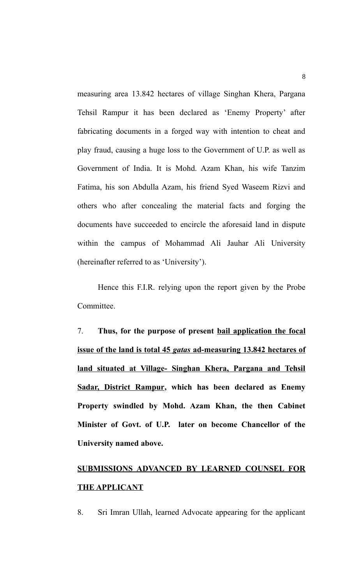measuring area 13.842 hectares of village Singhan Khera, Pargana Tehsil Rampur it has been declared as 'Enemy Property' after fabricating documents in a forged way with intention to cheat and play fraud, causing a huge loss to the Government of U.P. as well as Government of India. It is Mohd. Azam Khan, his wife Tanzim Fatima, his son Abdulla Azam, his friend Syed Waseem Rizvi and others who after concealing the material facts and forging the documents have succeeded to encircle the aforesaid land in dispute within the campus of Mohammad Ali Jauhar Ali University (hereinafter referred to as 'University').

Hence this F.I.R. relying upon the report given by the Probe Committee.

7. **Thus, for the purpose of present bail application the focal issue of the land is total 45** *gatas* **ad-measuring 13.842 hectares of land situated at Village- Singhan Khera, Pargana and Tehsil Sadar, District Rampur, which has been declared as Enemy Property swindled by Mohd. Azam Khan, the then Cabinet Minister of Govt. of U.P. later on become Chancellor of the University named above.**

# **SUBMISSIONS ADVANCED BY LEARNED COUNSEL FOR THE APPLICANT**

8. Sri Imran Ullah, learned Advocate appearing for the applicant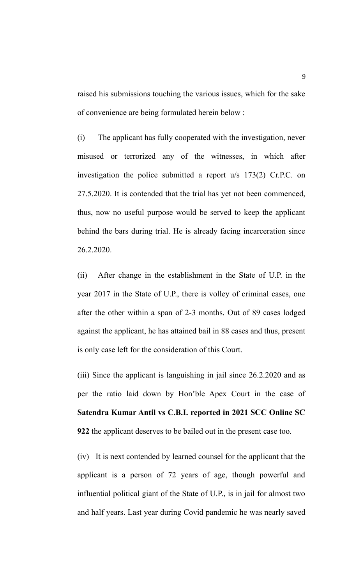raised his submissions touching the various issues, which for the sake of convenience are being formulated herein below :

(i) The applicant has fully cooperated with the investigation, never misused or terrorized any of the witnesses, in which after investigation the police submitted a report u/s 173(2) Cr.P.C. on 27.5.2020. It is contended that the trial has yet not been commenced, thus, now no useful purpose would be served to keep the applicant behind the bars during trial. He is already facing incarceration since 26.2.2020.

(ii) After change in the establishment in the State of U.P. in the year 2017 in the State of U.P., there is volley of criminal cases, one after the other within a span of 2-3 months. Out of 89 cases lodged against the applicant, he has attained bail in 88 cases and thus, present is only case left for the consideration of this Court.

(iii) Since the applicant is languishing in jail since 26.2.2020 and as per the ratio laid down by Hon'ble Apex Court in the case of **Satendra Kumar Antil vs C.B.I. reported in 2021 SCC Online SC 922** the applicant deserves to be bailed out in the present case too.

(iv) It is next contended by learned counsel for the applicant that the applicant is a person of 72 years of age, though powerful and influential political giant of the State of U.P., is in jail for almost two and half years. Last year during Covid pandemic he was nearly saved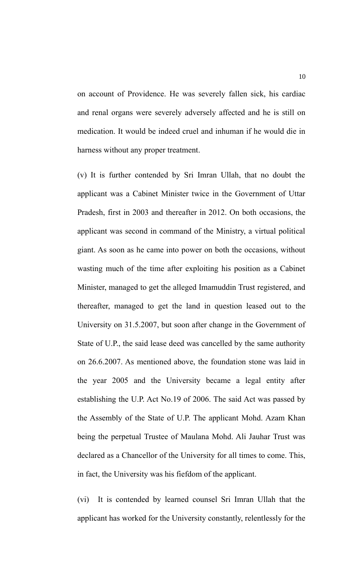on account of Providence. He was severely fallen sick, his cardiac and renal organs were severely adversely affected and he is still on medication. It would be indeed cruel and inhuman if he would die in harness without any proper treatment.

(v) It is further contended by Sri Imran Ullah, that no doubt the applicant was a Cabinet Minister twice in the Government of Uttar Pradesh, first in 2003 and thereafter in 2012. On both occasions, the applicant was second in command of the Ministry, a virtual political giant. As soon as he came into power on both the occasions, without wasting much of the time after exploiting his position as a Cabinet Minister, managed to get the alleged Imamuddin Trust registered, and thereafter, managed to get the land in question leased out to the University on 31.5.2007, but soon after change in the Government of State of U.P., the said lease deed was cancelled by the same authority on 26.6.2007. As mentioned above, the foundation stone was laid in the year 2005 and the University became a legal entity after establishing the U.P. Act No.19 of 2006. The said Act was passed by the Assembly of the State of U.P. The applicant Mohd. Azam Khan being the perpetual Trustee of Maulana Mohd. Ali Jauhar Trust was declared as a Chancellor of the University for all times to come. This, in fact, the University was his fiefdom of the applicant.

(vi) It is contended by learned counsel Sri Imran Ullah that the applicant has worked for the University constantly, relentlessly for the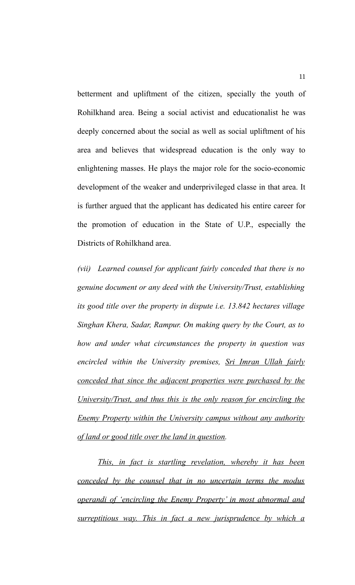betterment and upliftment of the citizen, specially the youth of Rohilkhand area. Being a social activist and educationalist he was deeply concerned about the social as well as social upliftment of his area and believes that widespread education is the only way to enlightening masses. He plays the major role for the socio-economic development of the weaker and underprivileged classe in that area. It is further argued that the applicant has dedicated his entire career for the promotion of education in the State of U.P., especially the Districts of Rohilkhand area.

*(vii) Learned counsel for applicant fairly conceded that there is no genuine document or any deed with the University/Trust, establishing its good title over the property in dispute i.e. 13.842 hectares village Singhan Khera, Sadar, Rampur. On making query by the Court, as to how and under what circumstances the property in question was encircled within the University premises, Sri Imran Ullah fairly conceded that since the adjacent properties were purchased by the University/Trust, and thus this is the only reason for encircling the Enemy Property within the University campus without any authority of land or good title over the land in question.*

*This, in fact is startling revelation, whereby it has been conceded by the counsel that in no uncertain terms the modus operandi of 'encircling the Enemy Property' in most abnormal and surreptitious way. This in fact a new jurisprudence by which a*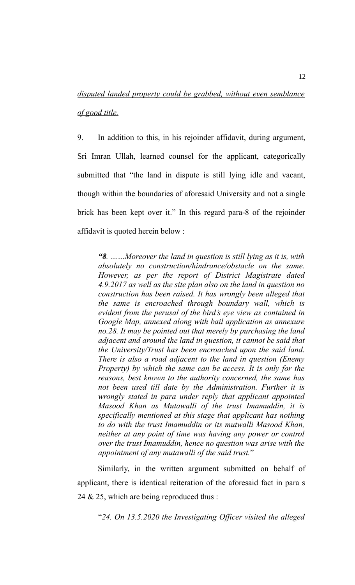# *disputed landed property could be grabbed, without even semblance of good title.*

9. In addition to this, in his rejoinder affidavit, during argument, Sri Imran Ullah, learned counsel for the applicant, categorically submitted that "the land in dispute is still lying idle and vacant, though within the boundaries of aforesaid University and not a single brick has been kept over it." In this regard para-8 of the rejoinder affidavit is quoted herein below :

*"8. ……Moreover the land in question is still lying as it is, with absolutely no construction/hindrance/obstacle on the same. However, as per the report of District Magistrate dated 4.9.2017 as well as the site plan also on the land in question no construction has been raised. It has wrongly been alleged that the same is encroached through boundary wall, which is evident from the perusal of the bird's eye view as contained in Google Map, annexed along with bail application as annexure no.28. It may be pointed out that merely by purchasing the land adjacent and around the land in question, it cannot be said that the University/Trust has been encroached upon the said land. There is also a road adjacent to the land in question (Enemy Property) by which the same can be access. It is only for the reasons, best known to the authority concerned, the same has not been used till date by the Administration. Further it is wrongly stated in para under reply that applicant appointed Masood Khan as Mutawalli of the trust Imamuddin, it is specifically mentioned at this stage that applicant has nothing to do with the trust Imamuddin or its mutwalli Masood Khan, neither at any point of time was having any power or control over the trust Imamuddin, hence no question was arise with the appointment of any mutawalli of the said trust.*"

Similarly, in the written argument submitted on behalf of applicant, there is identical reiteration of the aforesaid fact in para s 24 & 25, which are being reproduced thus :

"*24. On 13.5.2020 the Investigating Officer visited the alleged*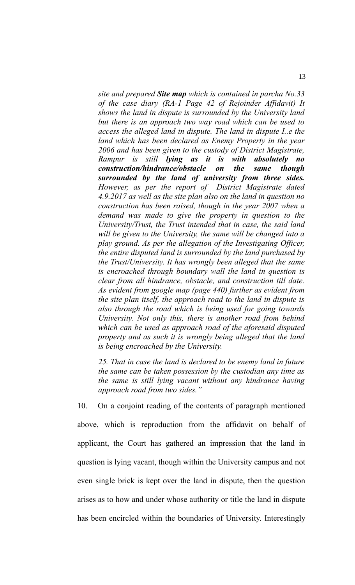*site and prepared Site map which is contained in parcha No.33 of the case diary (RA-1 Page 42 of Rejoinder Affidavit) It shows the land in dispute is surrounded by the University land but there is an approach two way road which can be used to access the alleged land in dispute. The land in dispute I..e the land which has been declared as Enemy Property in the year 2006 and has been given to the custody of District Magistrate, Rampur is still lying as it is with absolutely no construction/hindrance/obstacle on the same though surrounded by the land of university from three sides. However, as per the report of District Magistrate dated 4.9.2017 as well as the site plan also on the land in question no construction has been raised, though in the year 2007 when a demand was made to give the property in question to the University/Trust, the Trust intended that in case, the said land will be given to the University, the same will be changed into a play ground. As per the allegation of the Investigating Officer, the entire disputed land is surrounded by the land purchased by the Trust/University. It has wrongly been alleged that the same is encroached through boundary wall the land in question is clear from all hindrance, obstacle, and construction till date. As evident from google map (page 440) further as evident from the site plan itself, the approach road to the land in dispute is also through the road which is being used for going towards University. Not only this, there is another road from behind which can be used as approach road of the aforesaid disputed property and as such it is wrongly being alleged that the land is being encroached by the University.*

*25. That in case the land is declared to be enemy land in future the same can be taken possession by the custodian any time as the same is still lying vacant without any hindrance having approach road from two sides."* 

10. On a conjoint reading of the contents of paragraph mentioned above, which is reproduction from the affidavit on behalf of applicant, the Court has gathered an impression that the land in question is lying vacant, though within the University campus and not even single brick is kept over the land in dispute, then the question arises as to how and under whose authority or title the land in dispute has been encircled within the boundaries of University. Interestingly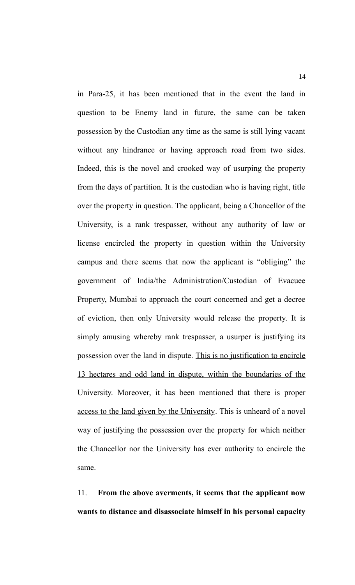in Para-25, it has been mentioned that in the event the land in question to be Enemy land in future, the same can be taken possession by the Custodian any time as the same is still lying vacant without any hindrance or having approach road from two sides. Indeed, this is the novel and crooked way of usurping the property from the days of partition. It is the custodian who is having right, title over the property in question. The applicant, being a Chancellor of the University, is a rank trespasser, without any authority of law or license encircled the property in question within the University campus and there seems that now the applicant is "obliging" the government of India/the Administration/Custodian of Evacuee Property, Mumbai to approach the court concerned and get a decree of eviction, then only University would release the property. It is simply amusing whereby rank trespasser, a usurper is justifying its possession over the land in dispute. This is no justification to encircle 13 hectares and odd land in dispute, within the boundaries of the University. Moreover, it has been mentioned that there is proper access to the land given by the University. This is unheard of a novel way of justifying the possession over the property for which neither the Chancellor nor the University has ever authority to encircle the same.

11. **From the above averments, it seems that the applicant now wants to distance and disassociate himself in his personal capacity**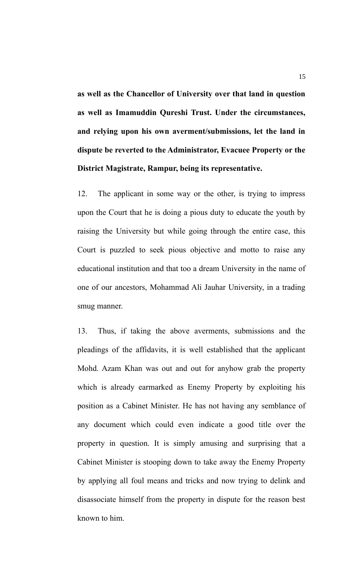**as well as the Chancellor of University over that land in question as well as Imamuddin Qureshi Trust. Under the circumstances, and relying upon his own averment/submissions, let the land in dispute be reverted to the Administrator, Evacuee Property or the District Magistrate, Rampur, being its representative.** 

12. The applicant in some way or the other, is trying to impress upon the Court that he is doing a pious duty to educate the youth by raising the University but while going through the entire case, this Court is puzzled to seek pious objective and motto to raise any educational institution and that too a dream University in the name of one of our ancestors, Mohammad Ali Jauhar University, in a trading smug manner.

13. Thus, if taking the above averments, submissions and the pleadings of the affidavits, it is well established that the applicant Mohd. Azam Khan was out and out for anyhow grab the property which is already earmarked as Enemy Property by exploiting his position as a Cabinet Minister. He has not having any semblance of any document which could even indicate a good title over the property in question. It is simply amusing and surprising that a Cabinet Minister is stooping down to take away the Enemy Property by applying all foul means and tricks and now trying to delink and disassociate himself from the property in dispute for the reason best known to him.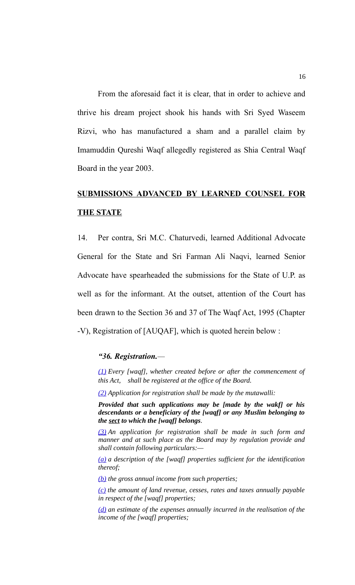From the aforesaid fact it is clear, that in order to achieve and thrive his dream project shook his hands with Sri Syed Waseem Rizvi, who has manufactured a sham and a parallel claim by Imamuddin Qureshi Waqf allegedly registered as Shia Central Waqf Board in the year 2003.

# **SUBMISSIONS ADVANCED BY LEARNED COUNSEL FOR THE STATE**

14. Per contra, Sri M.C. Chaturvedi, learned Additional Advocate General for the State and Sri Farman Ali Naqvi, learned Senior Advocate have spearheaded the submissions for the State of U.P. as well as for the informant. At the outset, attention of the Court has been drawn to the Section 36 and 37 of The Waqf Act, 1995 (Chapter -V), Registration of [AUQAF], which is quoted herein below :

#### *"36. Registration.—*

*[\(1\)](https://indiankanoon.org/doc/52384762/) Every [waqf], whether created before or after the commencement of this Act, shall be registered at the office of the Board.*

*[\(2\)](https://indiankanoon.org/doc/182719619/) Application for registration shall be made by the mutawalli:* 

*Provided that such applications may be [made by the wakf] or his descendants or a beneficiary of the [waqf] or any Muslim belonging to the sect to which the [waqf] belongs.*

*[\(3\)](https://indiankanoon.org/doc/75178239/) An application for registration shall be made in such form and manner and at such place as the Board may by regulation provide and shall contain following particulars:—*

*[\(a\)](https://indiankanoon.org/doc/89376260/) a description of the [waqf] properties sufficient for the identification thereof;*

*[\(b\)](https://indiankanoon.org/doc/15692325/) the gross annual income from such properties;*

*[\(c\)](https://indiankanoon.org/doc/41658191/) the amount of land revenue, cesses, rates and taxes annually payable in respect of the [waqf] properties;*

*[\(d\)](https://indiankanoon.org/doc/59379368/) an estimate of the expenses annually incurred in the realisation of the income of the [waqf] properties;*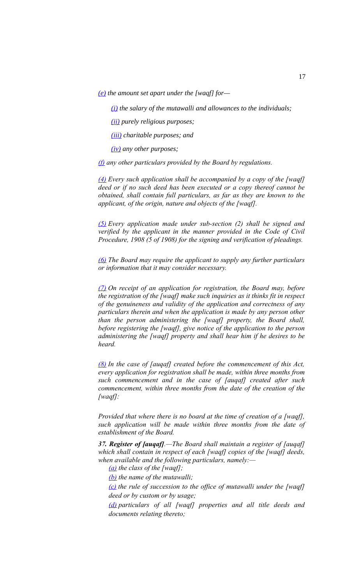*[\(e\)](https://indiankanoon.org/doc/74789967/) the amount set apart under the [waqf] for—*

*[\(i\)](https://indiankanoon.org/doc/64676895/) the salary of the mutawalli and allowances to the individuals;*

*[\(ii\)](https://indiankanoon.org/doc/161004784/) purely religious purposes;*

*[\(iii\)](https://indiankanoon.org/doc/170034745/) charitable purposes; and*

*[\(iv\)](https://indiankanoon.org/doc/198610488/) any other purposes;*

*[\(f\)](https://indiankanoon.org/doc/132418299/) any other particulars provided by the Board by regulations.*

*[\(4\)](https://indiankanoon.org/doc/124831300/) Every such application shall be accompanied by a copy of the [waqf] deed or if no such deed has been executed or a copy thereof cannot be obtained, shall contain full particulars, as far as they are known to the applicant, of the origin, nature and objects of the [waqf].*

*[\(5\)](https://indiankanoon.org/doc/83651875/) Every application made under sub-section (2) shall be signed and verified by the applicant in the manner provided in the Code of Civil Procedure, 1908 (5 of 1908) for the signing and verification of pleadings.*

*[\(6\)](https://indiankanoon.org/doc/129967250/) The Board may require the applicant to supply any further particulars or information that it may consider necessary.*

*[\(7\)](https://indiankanoon.org/doc/187249693/) On receipt of an application for registration, the Board may, before the registration of the [waqf] make such inquiries as it thinks fit in respect of the genuineness and validity of the application and correctness of any particulars therein and when the application is made by any person other than the person administering the [waqf] property, the Board shall, before registering the [waqf], give notice of the application to the person administering the [waqf] property and shall hear him if he desires to be heard.*

*[\(8\)](https://indiankanoon.org/doc/92490615/) In the case of [auqaf] created before the commencement of this Act, every application for registration shall be made, within three months from such commencement and in the case of [auqaf] created after such commencement, within three months from the date of the creation of the [waqf]:* 

*Provided that where there is no board at the time of creation of a [waqf], such application will be made within three months from the date of establishment of the Board.*

*37. Register of [auqaf].—The Board shall maintain a register of [auqaf] which shall contain in respect of each [waqf] copies of the [waqf] deeds, when available and the following particulars, namely:—*

*[\(a\)](https://indiankanoon.org/doc/166901388/) the class of the [waqf];*

*[\(b\)](https://indiankanoon.org/doc/162031958/) the name of the mutawalli;*

*[\(c\)](https://indiankanoon.org/doc/144280976/) the rule of succession to the office of mutawalli under the [waqf] deed or by custom or by usage;*

*[\(d\)](https://indiankanoon.org/doc/55368182/) particulars of all [waqf] properties and all title deeds and documents relating thereto;*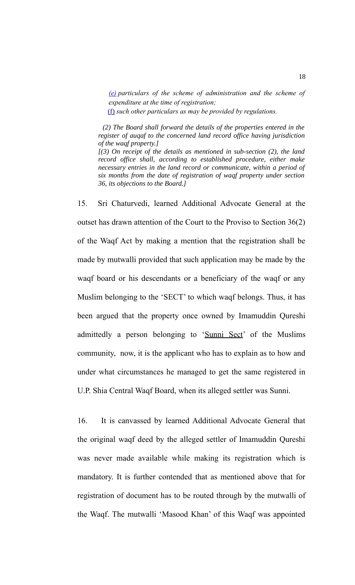*[\(e\)](https://indiankanoon.org/doc/105945272/) particulars of the scheme of administration and the scheme of expenditure at the time of registration;*

[\(f\)](https://indiankanoon.org/doc/185643863/) *such other particulars as may be provided by regulations.*

 *(2) The Board shall forward the details of the properties entered in the register of auqaf to the concerned land record office having jurisdiction of the waqf property.]*

*[(3) On receipt of the details as mentioned in sub-section (2), the land record office shall, according to established procedure, either make necessary entries in the land record or communicate, within a period of six months from the date of registration of waqf property under section 36, its objections to the Board.]*

15. Sri Chaturvedi, learned Additional Advocate General at the outset has drawn attention of the Court to the Proviso to Section 36(2) of the Waqf Act by making a mention that the registration shall be made by mutwalli provided that such application may be made by the waqf board or his descendants or a beneficiary of the waqf or any Muslim belonging to the 'SECT' to which waqf belongs. Thus, it has been argued that the property once owned by Imamuddin Qureshi admittedly a person belonging to 'Sunni Sect' of the Muslims community, now, it is the applicant who has to explain as to how and under what circumstances he managed to get the same registered in U.P. Shia Central Waqf Board, when its alleged settler was Sunni.

16. It is canvassed by learned Additional Advocate General that the original waqf deed by the alleged settler of Imamuddin Qureshi was never made available while making its registration which is mandatory. It is further contended that as mentioned above that for registration of document has to be routed through by the mutwalli of the Waqf. The mutwalli 'Masood Khan' of this Waqf was appointed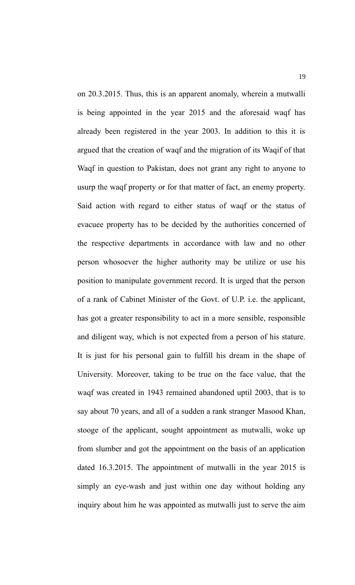on 20.3.2015. Thus, this is an apparent anomaly, wherein a mutwalli is being appointed in the year 2015 and the aforesaid waqf has already been registered in the year 2003. In addition to this it is argued that the creation of waqf and the migration of its Waqif of that Waqf in question to Pakistan, does not grant any right to anyone to usurp the waqf property or for that matter of fact, an enemy property. Said action with regard to either status of waqf or the status of evacuee property has to be decided by the authorities concerned of the respective departments in accordance with law and no other person whosoever the higher authority may be utilize or use his position to manipulate government record. It is urged that the person of a rank of Cabinet Minister of the Govt. of U.P. i.e. the applicant, has got a greater responsibility to act in a more sensible, responsible and diligent way, which is not expected from a person of his stature. It is just for his personal gain to fulfill his dream in the shape of University. Moreover, taking to be true on the face value, that the waqf was created in 1943 remained abandoned uptil 2003, that is to say about 70 years, and all of a sudden a rank stranger Masood Khan, stooge of the applicant, sought appointment as mutwalli, woke up from slumber and got the appointment on the basis of an application dated 16.3.2015. The appointment of mutwalli in the year 2015 is simply an eye-wash and just within one day without holding any inquiry about him he was appointed as mutwalli just to serve the aim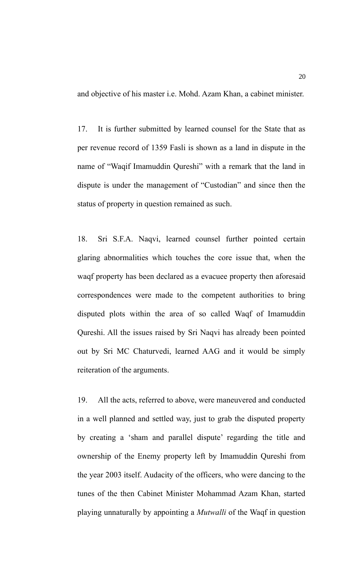and objective of his master i.e. Mohd. Azam Khan, a cabinet minister.

17. It is further submitted by learned counsel for the State that as per revenue record of 1359 Fasli is shown as a land in dispute in the name of "Waqif Imamuddin Qureshi" with a remark that the land in dispute is under the management of "Custodian" and since then the status of property in question remained as such.

18. Sri S.F.A. Naqvi, learned counsel further pointed certain glaring abnormalities which touches the core issue that, when the waqf property has been declared as a evacuee property then aforesaid correspondences were made to the competent authorities to bring disputed plots within the area of so called Waqf of Imamuddin Qureshi. All the issues raised by Sri Naqvi has already been pointed out by Sri MC Chaturvedi, learned AAG and it would be simply reiteration of the arguments.

19. All the acts, referred to above, were maneuvered and conducted in a well planned and settled way, just to grab the disputed property by creating a 'sham and parallel dispute' regarding the title and ownership of the Enemy property left by Imamuddin Qureshi from the year 2003 itself. Audacity of the officers, who were dancing to the tunes of the then Cabinet Minister Mohammad Azam Khan, started playing unnaturally by appointing a *Mutwalli* of the Waqf in question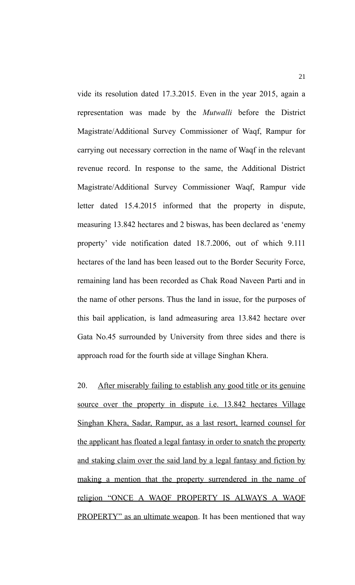vide its resolution dated 17.3.2015. Even in the year 2015, again a representation was made by the *Mutwalli* before the District Magistrate/Additional Survey Commissioner of Waqf, Rampur for carrying out necessary correction in the name of Waqf in the relevant revenue record. In response to the same, the Additional District Magistrate/Additional Survey Commissioner Waqf, Rampur vide letter dated 15.4.2015 informed that the property in dispute, measuring 13.842 hectares and 2 biswas, has been declared as 'enemy property' vide notification dated 18.7.2006, out of which 9.111 hectares of the land has been leased out to the Border Security Force, remaining land has been recorded as Chak Road Naveen Parti and in the name of other persons. Thus the land in issue, for the purposes of this bail application, is land admeasuring area 13.842 hectare over Gata No.45 surrounded by University from three sides and there is approach road for the fourth side at village Singhan Khera.

20. After miserably failing to establish any good title or its genuine source over the property in dispute i.e. 13.842 hectares Village Singhan Khera, Sadar, Rampur, as a last resort, learned counsel for the applicant has floated a legal fantasy in order to snatch the property and staking claim over the said land by a legal fantasy and fiction by making a mention that the property surrendered in the name of religion "ONCE A WAQF PROPERTY IS ALWAYS A WAQF PROPERTY" as an ultimate weapon. It has been mentioned that way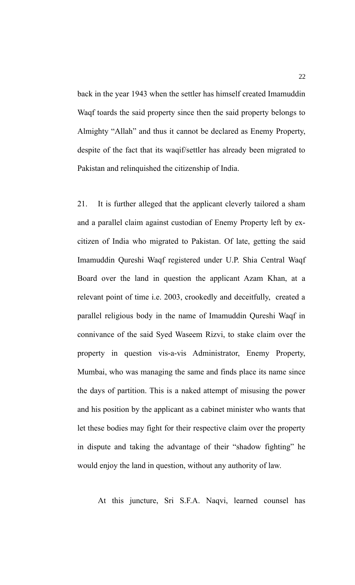back in the year 1943 when the settler has himself created Imamuddin Waqf toards the said property since then the said property belongs to Almighty "Allah" and thus it cannot be declared as Enemy Property, despite of the fact that its waqif/settler has already been migrated to Pakistan and relinquished the citizenship of India.

21. It is further alleged that the applicant cleverly tailored a sham and a parallel claim against custodian of Enemy Property left by excitizen of India who migrated to Pakistan. Of late, getting the said Imamuddin Qureshi Waqf registered under U.P. Shia Central Waqf Board over the land in question the applicant Azam Khan, at a relevant point of time i.e. 2003, crookedly and deceitfully, created a parallel religious body in the name of Imamuddin Qureshi Waqf in connivance of the said Syed Waseem Rizvi, to stake claim over the property in question vis-a-vis Administrator, Enemy Property, Mumbai, who was managing the same and finds place its name since the days of partition. This is a naked attempt of misusing the power and his position by the applicant as a cabinet minister who wants that let these bodies may fight for their respective claim over the property in dispute and taking the advantage of their "shadow fighting" he would enjoy the land in question, without any authority of law.

At this juncture, Sri S.F.A. Naqvi, learned counsel has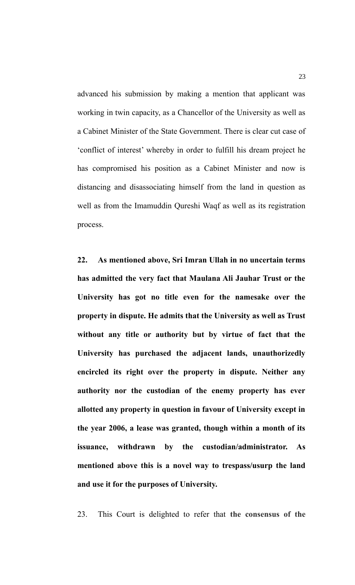advanced his submission by making a mention that applicant was working in twin capacity, as a Chancellor of the University as well as a Cabinet Minister of the State Government. There is clear cut case of 'conflict of interest' whereby in order to fulfill his dream project he has compromised his position as a Cabinet Minister and now is distancing and disassociating himself from the land in question as well as from the Imamuddin Qureshi Waqf as well as its registration process.

**22. As mentioned above, Sri Imran Ullah in no uncertain terms has admitted the very fact that Maulana Ali Jauhar Trust or the University has got no title even for the namesake over the property in dispute. He admits that the University as well as Trust without any title or authority but by virtue of fact that the University has purchased the adjacent lands, unauthorizedly encircled its right over the property in dispute. Neither any authority nor the custodian of the enemy property has ever allotted any property in question in favour of University except in the year 2006, a lease was granted, though within a month of its issuance, withdrawn by the custodian/administrator. As mentioned above this is a novel way to trespass/usurp the land and use it for the purposes of University.**

23. This Court is delighted to refer that **the consensus of the**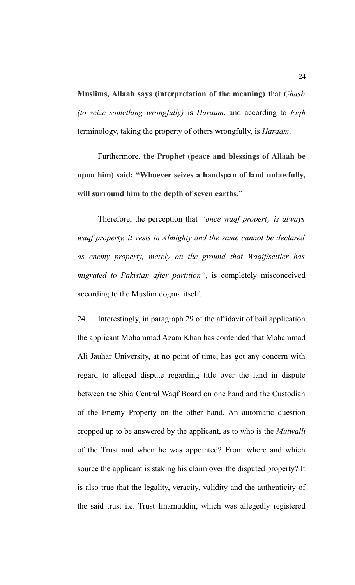**Muslims, Allaah says (interpretation of the meaning)** that *Ghasb (to seize something wrongfully)* is *Haraam*, and according to *Fiqh* terminology, taking the property of others wrongfully, is *Haraam*.

Furthermore, **the Prophet (peace and blessings of Allaah be upon him) said: "Whoever seizes a handspan of land unlawfully, will surround him to the depth of seven earths."**

Therefore, the perception that *"once waqf property is always waqf property, it vests in Almighty and the same cannot be declared as enemy property, merely on the ground that Waqif/settler has migrated to Pakistan after partition"*, is completely misconceived according to the Muslim dogma itself.

24. Interestingly, in paragraph 29 of the affidavit of bail application the applicant Mohammad Azam Khan has contended that Mohammad Ali Jauhar University, at no point of time, has got any concern with regard to alleged dispute regarding title over the land in dispute between the Shia Central Waqf Board on one hand and the Custodian of the Enemy Property on the other hand. An automatic question cropped up to be answered by the applicant, as to who is the *Mutwalli* of the Trust and when he was appointed? From where and which source the applicant is staking his claim over the disputed property? It is also true that the legality, veracity, validity and the authenticity of the said trust i.e. Trust Imamuddin, which was allegedly registered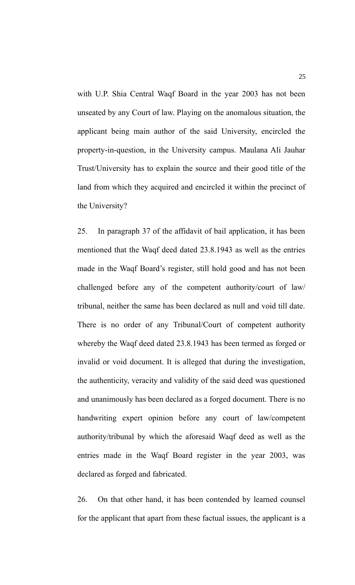with U.P. Shia Central Waqf Board in the year 2003 has not been unseated by any Court of law. Playing on the anomalous situation, the applicant being main author of the said University, encircled the property-in-question, in the University campus. Maulana Ali Jauhar Trust/University has to explain the source and their good title of the land from which they acquired and encircled it within the precinct of the University?

25. In paragraph 37 of the affidavit of bail application, it has been mentioned that the Waqf deed dated 23.8.1943 as well as the entries made in the Waqf Board's register, still hold good and has not been challenged before any of the competent authority/court of law/ tribunal, neither the same has been declared as null and void till date. There is no order of any Tribunal/Court of competent authority whereby the Waqf deed dated 23.8.1943 has been termed as forged or invalid or void document. It is alleged that during the investigation, the authenticity, veracity and validity of the said deed was questioned and unanimously has been declared as a forged document. There is no handwriting expert opinion before any court of law/competent authority/tribunal by which the aforesaid Waqf deed as well as the entries made in the Waqf Board register in the year 2003, was declared as forged and fabricated.

26. On that other hand, it has been contended by learned counsel for the applicant that apart from these factual issues, the applicant is a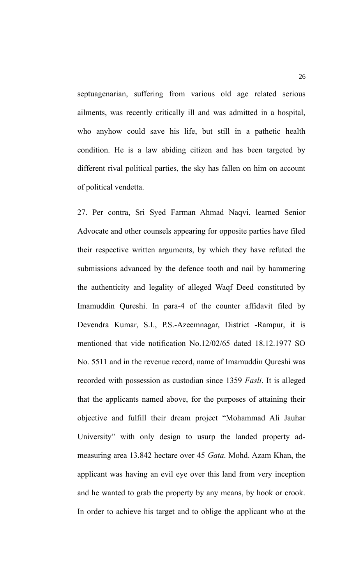septuagenarian, suffering from various old age related serious ailments, was recently critically ill and was admitted in a hospital, who anyhow could save his life, but still in a pathetic health condition. He is a law abiding citizen and has been targeted by different rival political parties, the sky has fallen on him on account of political vendetta.

27. Per contra, Sri Syed Farman Ahmad Naqvi, learned Senior Advocate and other counsels appearing for opposite parties have filed their respective written arguments, by which they have refuted the submissions advanced by the defence tooth and nail by hammering the authenticity and legality of alleged Waqf Deed constituted by Imamuddin Qureshi. In para-4 of the counter affidavit filed by Devendra Kumar, S.I., P.S.-Azeemnagar, District -Rampur, it is mentioned that vide notification No.12/02/65 dated 18.12.1977 SO No. 5511 and in the revenue record, name of Imamuddin Qureshi was recorded with possession as custodian since 1359 *Fasli*. It is alleged that the applicants named above, for the purposes of attaining their objective and fulfill their dream project "Mohammad Ali Jauhar University" with only design to usurp the landed property admeasuring area 13.842 hectare over 45 *Gata*. Mohd. Azam Khan, the applicant was having an evil eye over this land from very inception and he wanted to grab the property by any means, by hook or crook. In order to achieve his target and to oblige the applicant who at the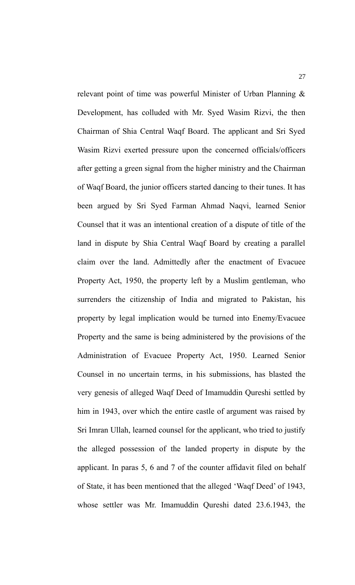relevant point of time was powerful Minister of Urban Planning & Development, has colluded with Mr. Syed Wasim Rizvi, the then Chairman of Shia Central Waqf Board. The applicant and Sri Syed Wasim Rizvi exerted pressure upon the concerned officials/officers after getting a green signal from the higher ministry and the Chairman of Waqf Board, the junior officers started dancing to their tunes. It has been argued by Sri Syed Farman Ahmad Naqvi, learned Senior Counsel that it was an intentional creation of a dispute of title of the land in dispute by Shia Central Waqf Board by creating a parallel claim over the land. Admittedly after the enactment of Evacuee Property Act, 1950, the property left by a Muslim gentleman, who surrenders the citizenship of India and migrated to Pakistan, his property by legal implication would be turned into Enemy/Evacuee Property and the same is being administered by the provisions of the Administration of Evacuee Property Act, 1950. Learned Senior Counsel in no uncertain terms, in his submissions, has blasted the very genesis of alleged Waqf Deed of Imamuddin Qureshi settled by him in 1943, over which the entire castle of argument was raised by Sri Imran Ullah, learned counsel for the applicant, who tried to justify the alleged possession of the landed property in dispute by the applicant. In paras 5, 6 and 7 of the counter affidavit filed on behalf of State, it has been mentioned that the alleged 'Waqf Deed' of 1943, whose settler was Mr. Imamuddin Qureshi dated 23.6.1943, the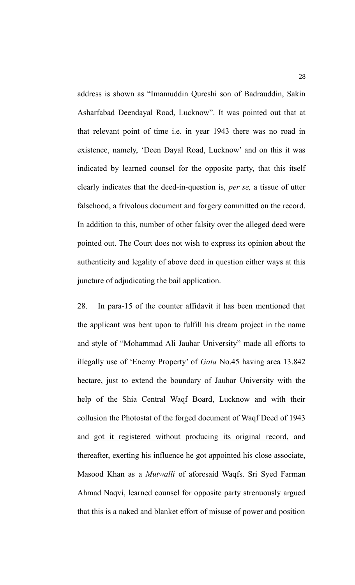address is shown as "Imamuddin Qureshi son of Badrauddin, Sakin Asharfabad Deendayal Road, Lucknow". It was pointed out that at that relevant point of time i.e. in year 1943 there was no road in existence, namely, 'Deen Dayal Road, Lucknow' and on this it was indicated by learned counsel for the opposite party, that this itself clearly indicates that the deed-in-question is, *per se,* a tissue of utter falsehood, a frivolous document and forgery committed on the record. In addition to this, number of other falsity over the alleged deed were pointed out. The Court does not wish to express its opinion about the authenticity and legality of above deed in question either ways at this juncture of adjudicating the bail application.

28. In para-15 of the counter affidavit it has been mentioned that the applicant was bent upon to fulfill his dream project in the name and style of "Mohammad Ali Jauhar University" made all efforts to illegally use of 'Enemy Property' of *Gata* No.45 having area 13.842 hectare, just to extend the boundary of Jauhar University with the help of the Shia Central Waqf Board, Lucknow and with their collusion the Photostat of the forged document of Waqf Deed of 1943 and got it registered without producing its original record, and thereafter, exerting his influence he got appointed his close associate, Masood Khan as a *Mutwalli* of aforesaid Waqfs. Sri Syed Farman Ahmad Naqvi, learned counsel for opposite party strenuously argued that this is a naked and blanket effort of misuse of power and position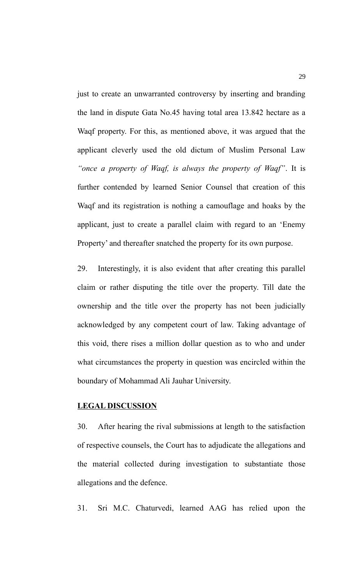just to create an unwarranted controversy by inserting and branding the land in dispute Gata No.45 having total area 13.842 hectare as a Waqf property. For this, as mentioned above, it was argued that the applicant cleverly used the old dictum of Muslim Personal Law *"once a property of Waqf, is always the property of Waqf"*. It is further contended by learned Senior Counsel that creation of this Waqf and its registration is nothing a camouflage and hoaks by the applicant, just to create a parallel claim with regard to an 'Enemy Property' and thereafter snatched the property for its own purpose.

29. Interestingly, it is also evident that after creating this parallel claim or rather disputing the title over the property. Till date the ownership and the title over the property has not been judicially acknowledged by any competent court of law. Taking advantage of this void, there rises a million dollar question as to who and under what circumstances the property in question was encircled within the boundary of Mohammad Ali Jauhar University.

#### **LEGAL DISCUSSION**

30. After hearing the rival submissions at length to the satisfaction of respective counsels, the Court has to adjudicate the allegations and the material collected during investigation to substantiate those allegations and the defence.

31. Sri M.C. Chaturvedi, learned AAG has relied upon the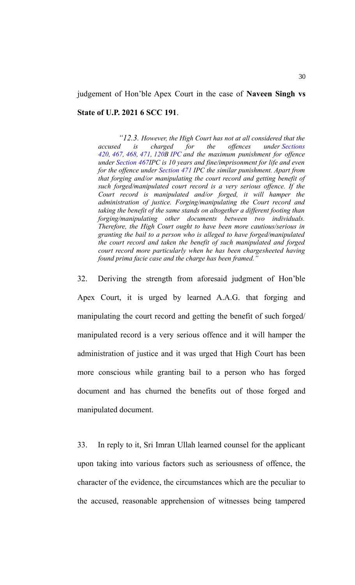#### judgement of Hon'ble Apex Court in the case of **Naveen Singh vs**

#### **State of U.P. 2021 6 SCC 191**.

*"12.3. However, the High Court has not at all considered that the accused is charged for the offences under [Sections](https://indiankanoon.org/doc/1436241/) [420,](https://indiankanoon.org/doc/1436241/) [467,](https://indiankanoon.org/doc/1985627/) [468,](https://indiankanoon.org/doc/556166/) [471,](https://indiankanoon.org/doc/1466184/) [120B](https://indiankanoon.org/doc/1128948/) [IPC](https://indiankanoon.org/doc/1569253/) and the maximum punishment for offence under [Section 467I](https://indiankanoon.org/doc/1985627/)PC is 10 years and fine/imprisonment for life and even for the offence under [Section 471](https://indiankanoon.org/doc/1466184/) IPC the similar punishment. Apart from that forging and/or manipulating the court record and getting benefit of such forged/manipulated court record is a very serious offence. If the Court record is manipulated and/or forged, it will hamper the administration of justice. Forging/manipulating the Court record and taking the benefit of the same stands on altogether a different footing than forging/manipulating other documents between two individuals. Therefore, the High Court ought to have been more cautious/serious in granting the bail to a person who is alleged to have forged/manipulated the court record and taken the benefit of such manipulated and forged court record more particularly when he has been chargesheeted having found prima facie case and the charge has been framed."*

32. Deriving the strength from aforesaid judgment of Hon'ble Apex Court, it is urged by learned A.A.G. that forging and manipulating the court record and getting the benefit of such forged/ manipulated record is a very serious offence and it will hamper the administration of justice and it was urged that High Court has been more conscious while granting bail to a person who has forged document and has churned the benefits out of those forged and manipulated document.

33. In reply to it, Sri Imran Ullah learned counsel for the applicant upon taking into various factors such as seriousness of offence, the character of the evidence, the circumstances which are the peculiar to the accused, reasonable apprehension of witnesses being tampered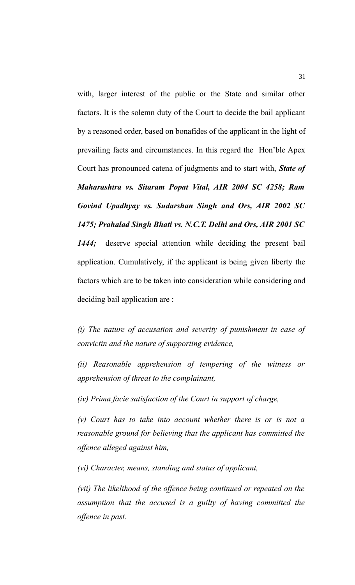with, larger interest of the public or the State and similar other factors. It is the solemn duty of the Court to decide the bail applicant by a reasoned order, based on bonafides of the applicant in the light of prevailing facts and circumstances. In this regard the Hon'ble Apex Court has pronounced catena of judgments and to start with, *State of Maharashtra vs. Sitaram Popat Vital, AIR 2004 SC 4258; Ram Govind Upadhyay vs. Sudarshan Singh and Ors, AIR 2002 SC 1475; Prahalad Singh Bhati vs. N.C.T. Delhi and Ors, AIR 2001 SC 1444;* deserve special attention while deciding the present bail application. Cumulatively, if the applicant is being given liberty the factors which are to be taken into consideration while considering and deciding bail application are :

*(i) The nature of accusation and severity of punishment in case of convictin and the nature of supporting evidence,*

*(ii) Reasonable apprehension of tempering of the witness or apprehension of threat to the complainant,*

*(iv) Prima facie satisfaction of the Court in support of charge,*

*(v) Court has to take into account whether there is or is not a reasonable ground for believing that the applicant has committed the offence alleged against him,*

*(vi) Character, means, standing and status of applicant,*

*(vii) The likelihood of the offence being continued or repeated on the assumption that the accused is a guilty of having committed the offence in past.*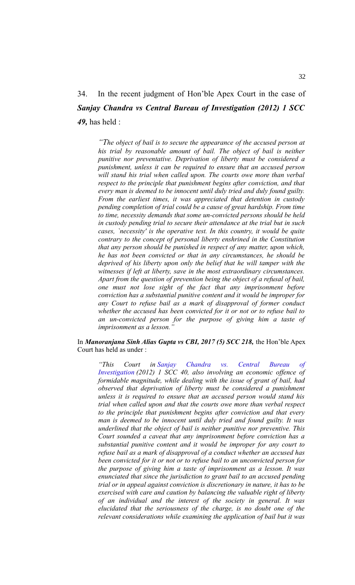## 34. In the recent judgment of Hon'ble Apex Court in the case of *Sanjay Chandra vs Central Bureau of Investigation (2012) 1 SCC 49,* has held :

*"The object of bail is to secure the appearance of the accused person at his trial by reasonable amount of bail. The object of bail is neither punitive nor preventative. Deprivation of liberty must be considered a punishment, unless it can be required to ensure that an accused person will stand his trial when called upon. The courts owe more than verbal respect to the principle that punishment begins after conviction, and that every man is deemed to be innocent until duly tried and duly found guilty. From the earliest times, it was appreciated that detention in custody pending completion of trial could be a cause of great hardship. From time to time, necessity demands that some un-convicted persons should be held in custody pending trial to secure their attendance at the trial but in such cases, `necessity' is the operative test. In this country, it would be quite contrary to the concept of personal liberty enshrined in the Constitution that any person should be punished in respect of any matter, upon which, he has not been convicted or that in any circumstances, he should be deprived of his liberty upon only the belief that he will tamper with the witnesses if left at liberty, save in the most extraordinary circumstances. Apart from the question of prevention being the object of a refusal of bail, one must not lose sight of the fact that any imprisonment before conviction has a substantial punitive content and it would be improper for any Court to refuse bail as a mark of disapproval of former conduct whether the accused has been convicted for it or not or to refuse bail to an un-convicted person for the purpose of giving him a taste of imprisonment as a lesson."*

In *Manoranjana Sinh Alias Gupta vs CBI, 2017 (5) SCC 218,* the Hon'ble Apex Court has held as under :

*"This Court in [Sanjay Chandra vs. Central Bureau of](https://indiankanoon.org/doc/1563495/) [Investigation](https://indiankanoon.org/doc/1563495/) (2012) 1 SCC 40, also involving an economic offence of formidable magnitude, while dealing with the issue of grant of bail, had observed that deprivation of liberty must be considered a punishment unless it is required to ensure that an accused person would stand his trial when called upon and that the courts owe more than verbal respect to the principle that punishment begins after conviction and that every man is deemed to be innocent until duly tried and found guilty. It was underlined that the object of bail is neither punitive nor preventive. This Court sounded a caveat that any imprisonment before conviction has a substantial punitive content and it would be improper for any court to refuse bail as a mark of disapproval of a conduct whether an accused has been convicted for it or not or to refuse bail to an unconvicted person for the purpose of giving him a taste of imprisonment as a lesson. It was enunciated that since the jurisdiction to grant bail to an accused pending trial or in appeal against conviction is discretionary in nature, it has to be exercised with care and caution by balancing the valuable right of liberty of an individual and the interest of the society in general. It was elucidated that the seriousness of the charge, is no doubt one of the relevant considerations while examining the application of bail but it was*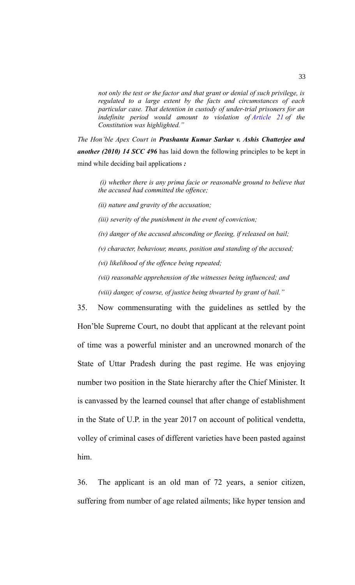*not only the test or the factor and that grant or denial of such privilege, is regulated to a large extent by the facts and circumstances of each particular case. That detention in custody of under-trial prisoners for an indefinite period would amount to violation of [Article 21](https://indiankanoon.org/doc/1199182/) of the Constitution was highlighted."*

*The Hon'ble Apex Court in Prashanta Kumar Sarkar v. Ashis Chatterjee and another (2010) 14 SCC 496* has laid down the following principles to be kept in mind while deciding bail applications *:*

*(i) whether there is any prima facie or reasonable ground to believe that the accused had committed the offence;* 

*(ii) nature and gravity of the accusation;*

*(iii) severity of the punishment in the event of conviction;*

*(iv) danger of the accused absconding or fleeing, if released on bail;*

*(v) character, behaviour, means, position and standing of the accused;*

*(vi) likelihood of the offence being repeated;*

*(vii) reasonable apprehension of the witnesses being influenced; and*

*(viii) danger, of course, of justice being thwarted by grant of bail."*

35. Now commensurating with the guidelines as settled by the Hon'ble Supreme Court, no doubt that applicant at the relevant point of time was a powerful minister and an uncrowned monarch of the State of Uttar Pradesh during the past regime. He was enjoying number two position in the State hierarchy after the Chief Minister. It is canvassed by the learned counsel that after change of establishment in the State of U.P. in the year 2017 on account of political vendetta, volley of criminal cases of different varieties have been pasted against him.

36. The applicant is an old man of 72 years, a senior citizen, suffering from number of age related ailments; like hyper tension and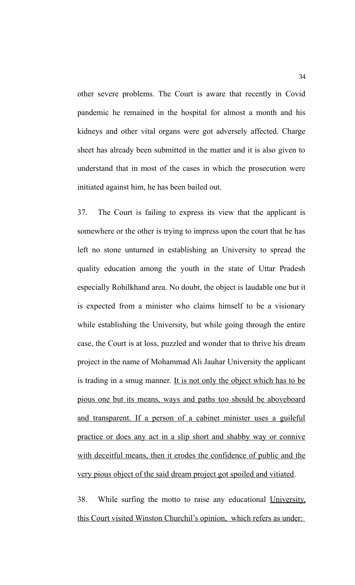other severe problems. The Court is aware that recently in Covid pandemic he remained in the hospital for almost a month and his kidneys and other vital organs were got adversely affected. Charge sheet has already been submitted in the matter and it is also given to understand that in most of the cases in which the prosecution were initiated against him, he has been bailed out.

37. The Court is failing to express its view that the applicant is somewhere or the other is trying to impress upon the court that he has left no stone unturned in establishing an University to spread the quality education among the youth in the state of Uttar Pradesh especially Rohilkhand area. No doubt, the object is laudable one but it is expected from a minister who claims himself to be a visionary while establishing the University, but while going through the entire case, the Court is at loss, puzzled and wonder that to thrive his dream project in the name of Mohammad Ali Jauhar University the applicant is trading in a smug manner. It is not only the object which has to be pious one but its means, ways and paths too should be aboveboard and transparent. If a person of a cabinet minister uses a guileful practice or does any act in a slip short and shabby way or connive with deceitful means, then it erodes the confidence of public and the very pious object of the said dream project got spoiled and vitiated.

38. While surfing the motto to raise any educational University, this Court visited Winston Churchil's opinion, which refers as under: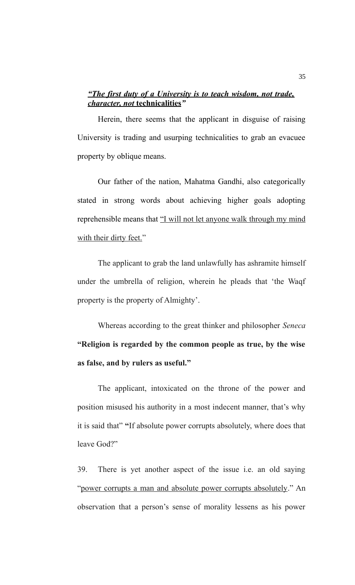### *"The first duty of a University is to teach wisdom, not trade, character, not* **technicalities***"*

Herein, there seems that the applicant in disguise of raising University is trading and usurping technicalities to grab an evacuee property by oblique means.

Our father of the nation, Mahatma Gandhi, also categorically stated in strong words about achieving higher goals adopting reprehensible means that "I will not let anyone walk through my mind with their dirty feet."

The applicant to grab the land unlawfully has ashramite himself under the umbrella of religion, wherein he pleads that 'the Waqf property is the property of Almighty'.

Whereas according to the great thinker and philosopher *Seneca* **"Religion is regarded by the common people as true, by the wise as false, and by rulers as useful."**

The applicant, intoxicated on the throne of the power and position misused his authority in a most indecent manner, that's why it is said that" **"**If absolute power corrupts absolutely, where does that leave God?"

39. There is yet another aspect of the issue i.e. an old saying "power corrupts a man and absolute power corrupts absolutely." An observation that a person's sense of morality lessens as his power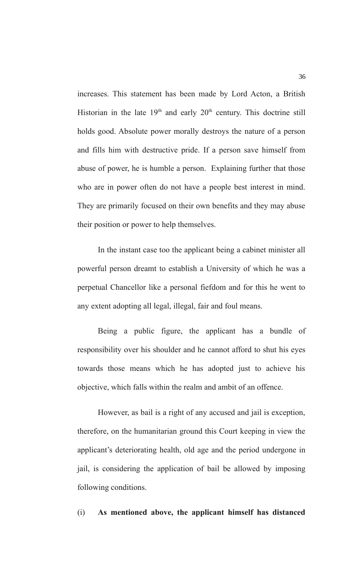increases. This statement has been made by Lord Acton, a British Historian in the late  $19<sup>th</sup>$  and early  $20<sup>th</sup>$  century. This doctrine still holds good. Absolute power morally destroys the nature of a person and fills him with destructive pride. If a person save himself from abuse of power, he is humble a person. Explaining further that those who are in power often do not have a people best interest in mind. They are primarily focused on their own benefits and they may abuse their position or power to help themselves.

In the instant case too the applicant being a cabinet minister all powerful person dreamt to establish a University of which he was a perpetual Chancellor like a personal fiefdom and for this he went to any extent adopting all legal, illegal, fair and foul means.

Being a public figure, the applicant has a bundle of responsibility over his shoulder and he cannot afford to shut his eyes towards those means which he has adopted just to achieve his objective, which falls within the realm and ambit of an offence.

However, as bail is a right of any accused and jail is exception, therefore, on the humanitarian ground this Court keeping in view the applicant's deteriorating health, old age and the period undergone in jail, is considering the application of bail be allowed by imposing following conditions.

(i) **As mentioned above, the applicant himself has distanced**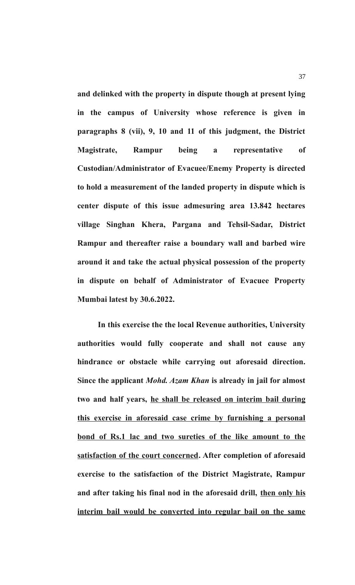**and delinked with the property in dispute though at present lying in the campus of University whose reference is given in paragraphs 8 (vii), 9, 10 and 11 of this judgment, the District Magistrate, Rampur being a representative of Custodian/Administrator of Evacuee/Enemy Property is directed to hold a measurement of the landed property in dispute which is center dispute of this issue admesuring area 13.842 hectares village Singhan Khera, Pargana and Tehsil-Sadar, District Rampur and thereafter raise a boundary wall and barbed wire around it and take the actual physical possession of the property in dispute on behalf of Administrator of Evacuee Property Mumbai latest by 30.6.2022.**

**In this exercise the the local Revenue authorities, University authorities would fully cooperate and shall not cause any hindrance or obstacle while carrying out aforesaid direction. Since the applicant** *Mohd. Azam Khan* **is already in jail for almost two and half years, he shall be released on interim bail during this exercise in aforesaid case crime by furnishing a personal bond of Rs.1 lac and two sureties of the like amount to the satisfaction of the court concerned. After completion of aforesaid exercise to the satisfaction of the District Magistrate, Rampur and after taking his final nod in the aforesaid drill, then only his interim bail would be converted into regular bail on the same**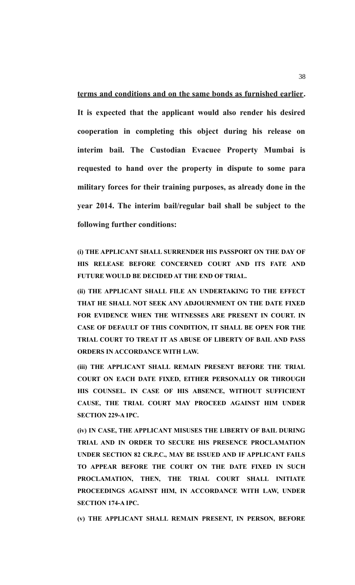**terms and conditions and on the same bonds as furnished earlier. It is expected that the applicant would also render his desired cooperation in completing this object during his release on interim bail. The Custodian Evacuee Property Mumbai is requested to hand over the property in dispute to some para military forces for their training purposes, as already done in the year 2014. The interim bail/regular bail shall be subject to the following further conditions:**

**(i) THE APPLICANT SHALL SURRENDER HIS PASSPORT ON THE DAY OF HIS RELEASE BEFORE CONCERNED COURT AND ITS FATE AND FUTURE WOULD BE DECIDED AT THE END OF TRIAL.** 

**(ii) THE APPLICANT SHALL FILE AN UNDERTAKING TO THE EFFECT THAT HE SHALL NOT SEEK ANY ADJOURNMENT ON THE DATE FIXED FOR EVIDENCE WHEN THE WITNESSES ARE PRESENT IN COURT. IN CASE OF DEFAULT OF THIS CONDITION, IT SHALL BE OPEN FOR THE TRIAL COURT TO TREAT IT AS ABUSE OF LIBERTY OF BAIL AND PASS ORDERS IN ACCORDANCE WITH LAW.** 

**(iii) THE APPLICANT SHALL REMAIN PRESENT BEFORE THE TRIAL COURT ON EACH DATE FIXED, EITHER PERSONALLY OR THROUGH HIS COUNSEL. IN CASE OF HIS ABSENCE, WITHOUT SUFFICIENT CAUSE, THE TRIAL COURT MAY PROCEED AGAINST HIM UNDER SECTION 229-A IPC.** 

**(iv) IN CASE, THE APPLICANT MISUSES THE LIBERTY OF BAIL DURING TRIAL AND IN ORDER TO SECURE HIS PRESENCE PROCLAMATION UNDER SECTION 82 CR.P.C., MAY BE ISSUED AND IF APPLICANT FAILS TO APPEAR BEFORE THE COURT ON THE DATE FIXED IN SUCH PROCLAMATION, THEN, THE TRIAL COURT SHALL INITIATE PROCEEDINGS AGAINST HIM, IN ACCORDANCE WITH LAW, UNDER SECTION 174-A IPC.**

**(v) THE APPLICANT SHALL REMAIN PRESENT, IN PERSON, BEFORE**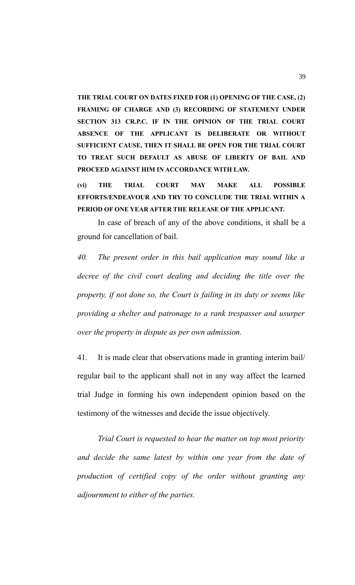**THE TRIAL COURT ON DATES FIXED FOR (1) OPENING OF THE CASE, (2) FRAMING OF CHARGE AND (3) RECORDING OF STATEMENT UNDER SECTION 313 CR.P.C. IF IN THE OPINION OF THE TRIAL COURT ABSENCE OF THE APPLICANT IS DELIBERATE OR WITHOUT SUFFICIENT CAUSE, THEN IT SHALL BE OPEN FOR THE TRIAL COURT TO TREAT SUCH DEFAULT AS ABUSE OF LIBERTY OF BAIL AND PROCEED AGAINST HIM IN ACCORDANCE WITH LAW.**

**(vi) THE TRIAL COURT MAY MAKE ALL POSSIBLE EFFORTS/ENDEAVOUR AND TRY TO CONCLUDE THE TRIAL WITHIN A PERIOD OF ONE YEAR AFTER THE RELEASE OF THE APPLICANT.**

In case of breach of any of the above conditions, it shall be a ground for cancellation of bail.

*40. The present order in this bail application may sound like a decree of the civil court dealing and deciding the title over the property, if not done so, the Court is failing in its duty or seems like providing a shelter and patronage to a rank trespasser and usurper over the property in dispute as per own admission.*

41. It is made clear that observations made in granting interim bail/ regular bail to the applicant shall not in any way affect the learned trial Judge in forming his own independent opinion based on the testimony of the witnesses and decide the issue objectively.

*Trial Court is requested to hear the matter on top most priority and decide the same latest by within one year from the date of production of certified copy of the order without granting any adjournment to either of the parties.*